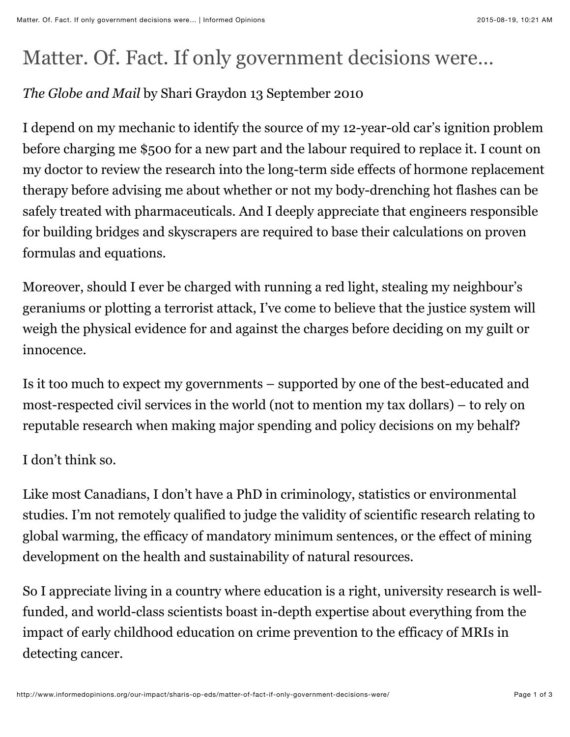## Matter. Of. Fact. If only government decisions were…

## *The Globe and Mail* by Shari Graydon 13 September 2010

I depend on my mechanic to identify the source of my 12-year-old car's ignition problem before charging me \$500 for a new part and the labour required to replace it. I count on my doctor to review the research into the long-term side effects of hormone replacement therapy before advising me about whether or not my body-drenching hot flashes can be safely treated with pharmaceuticals. And I deeply appreciate that engineers responsible for building bridges and skyscrapers are required to base their calculations on proven formulas and equations.

Moreover, should I ever be charged with running a red light, stealing my neighbour's geraniums or plotting a terrorist attack, I've come to believe that the justice system will weigh the physical evidence for and against the charges before deciding on my guilt or innocence.

Is it too much to expect my governments – supported by one of the best-educated and most-respected civil services in the world (not to mention my tax dollars) – to rely on reputable research when making major spending and policy decisions on my behalf?

I don't think so.

Like most Canadians, I don't have a PhD in criminology, statistics or environmental studies. I'm not remotely qualified to judge the validity of scientific research relating to global warming, the efficacy of mandatory minimum sentences, or the effect of mining development on the health and sustainability of natural resources.

So I appreciate living in a country where education is a right, university research is wellfunded, and world-class scientists boast in-depth expertise about everything from the impact of early childhood education on crime prevention to the efficacy of MRIs in detecting cancer.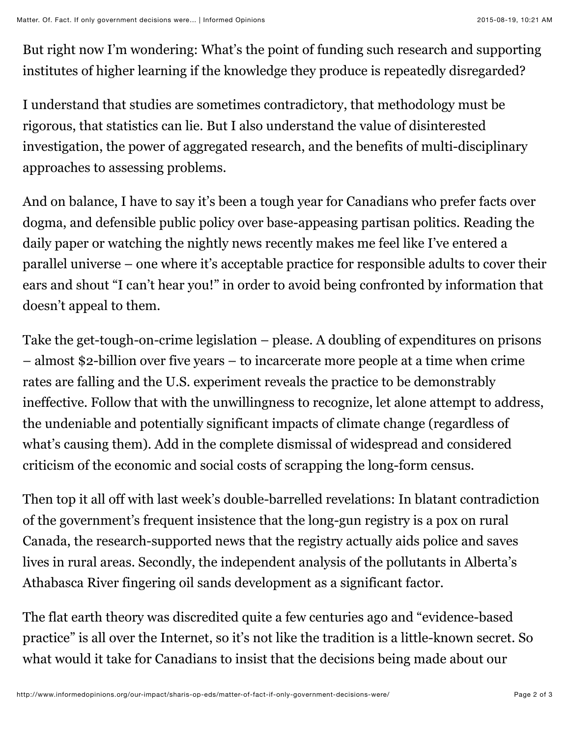But right now I'm wondering: What's the point of funding such research and supporting institutes of higher learning if the knowledge they produce is repeatedly disregarded?

I understand that studies are sometimes contradictory, that methodology must be rigorous, that statistics can lie. But I also understand the value of disinterested investigation, the power of aggregated research, and the benefits of multi-disciplinary approaches to assessing problems.

And on balance, I have to say it's been a tough year for Canadians who prefer facts over dogma, and defensible public policy over base-appeasing partisan politics. Reading the daily paper or watching the nightly news recently makes me feel like I've entered a parallel universe – one where it's acceptable practice for responsible adults to cover their ears and shout "I can't hear you!" in order to avoid being confronted by information that doesn't appeal to them.

Take the get-tough-on-crime legislation – please. A doubling of expenditures on prisons – almost \$2-billion over five years – to incarcerate more people at a time when crime rates are falling and the U.S. experiment reveals the practice to be demonstrably ineffective. Follow that with the unwillingness to recognize, let alone attempt to address, the undeniable and potentially significant impacts of climate change (regardless of what's causing them). Add in the complete dismissal of widespread and considered criticism of the economic and social costs of scrapping the long-form census.

Then top it all off with last week's double-barrelled revelations: In blatant contradiction of the government's frequent insistence that the long-gun registry is a pox on rural Canada, the research-supported news that the registry actually aids police and saves lives in rural areas. Secondly, the independent analysis of the pollutants in Alberta's Athabasca River fingering oil sands development as a significant factor.

The flat earth theory was discredited quite a few centuries ago and "evidence-based practice" is all over the Internet, so it's not like the tradition is a little-known secret. So what would it take for Canadians to insist that the decisions being made about our